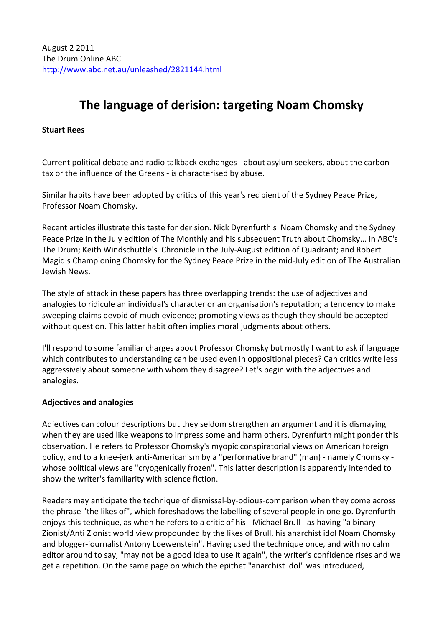# **The language of derision: targeting Noam Chomsky**

## **Stuart\$Rees**

Current political debate and radio talkback exchanges - about asylum seekers, about the carbon tax or the influence of the Greens - is characterised by abuse.

Similar habits have been adopted by critics of this year's recipient of the Sydney Peace Prize, Professor Noam Chomsky.

Recent articles illustrate this taste for derision. Nick Dyrenfurth's Noam Chomsky and the Sydney Peace Prize in the July edition of The Monthly and his subsequent Truth about Chomsky... in ABC's The Drum; Keith Windschuttle's Chronicle in the July-August edition of Quadrant; and Robert Magid's Championing Chomsky for the Sydney Peace Prize in the mid-July edition of The Australian Jewish News.

The style of attack in these papers has three overlapping trends: the use of adjectives and analogies to ridicule an individual's character or an organisation's reputation; a tendency to make sweeping claims devoid of much evidence; promoting views as though they should be accepted without question. This latter habit often implies moral judgments about others.

I'll respond to some familiar charges about Professor Chomsky but mostly I want to ask if language which contributes to understanding can be used even in oppositional pieces? Can critics write less aggressively about someone with whom they disagree? Let's begin with the adjectives and analogies.

## **Adjectives and analogies**

Adjectives can colour descriptions but they seldom strengthen an argument and it is dismaying when they are used like weapons to impress some and harm others. Dyrenfurth might ponder this observation. He refers to Professor Chomsky's myopic conspiratorial views on American foreign policy, and to a knee-jerk anti-Americanism by a "performative brand" (man) - namely Chomsky whose political views are "cryogenically frozen". This latter description is apparently intended to show the writer's familiarity with science fiction.

Readers may anticipate the technique of dismissal-by-odious-comparison when they come across the phrase "the likes of", which foreshadows the labelling of several people in one go. Dyrenfurth enjoys this technique, as when he refers to a critic of his - Michael Brull - as having "a binary Zionist/Anti Zionist world view propounded by the likes of Brull, his anarchist idol Noam Chomsky and blogger-journalist Antony Loewenstein". Having used the technique once, and with no calm editor around to say, "may not be a good idea to use it again", the writer's confidence rises and we get a repetition. On the same page on which the epithet "anarchist idol" was introduced,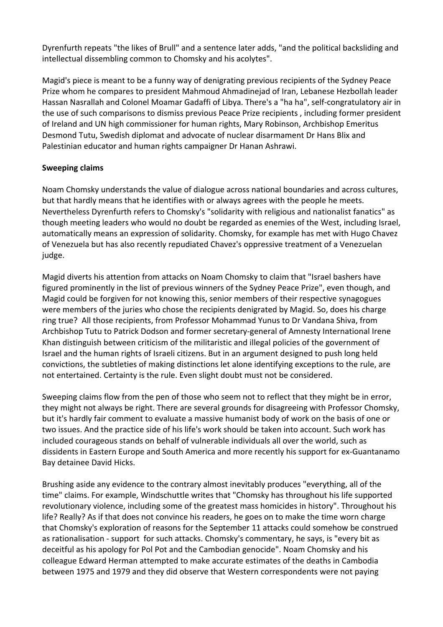Dyrenfurth repeats "the likes of Brull" and a sentence later adds, "and the political backsliding and intellectual dissembling common to Chomsky and his acolytes".

Magid's piece is meant to be a funny way of denigrating previous recipients of the Sydney Peace Prize whom he compares to president Mahmoud Ahmadinejad of Iran, Lebanese Hezbollah leader Hassan Nasrallah and Colonel Moamar Gadaffi of Libya. There's a "ha ha", self-congratulatory air in the use of such comparisons to dismiss previous Peace Prize recipients, including former president of Ireland and UN high commissioner for human rights, Mary Robinson, Archbishop Emeritus Desmond Tutu, Swedish diplomat and advocate of nuclear disarmament Dr Hans Blix and Palestinian educator and human rights campaigner Dr Hanan Ashrawi.

### **Sweeping\$claims**

Noam Chomsky understands the value of dialogue across national boundaries and across cultures, but that hardly means that he identifies with or always agrees with the people he meets. Nevertheless Dyrenfurth refers to Chomsky's "solidarity with religious and nationalist fanatics" as though meeting leaders who would no doubt be regarded as enemies of the West, including Israel, automatically means an expression of solidarity. Chomsky, for example has met with Hugo Chavez of Venezuela but has also recently repudiated Chavez's oppressive treatment of a Venezuelan judge.

Magid diverts his attention from attacks on Noam Chomsky to claim that "Israel bashers have figured prominently in the list of previous winners of the Sydney Peace Prize", even though, and Magid could be forgiven for not knowing this, senior members of their respective synagogues were members of the juries who chose the recipients denigrated by Magid. So, does his charge ring true? All those recipients, from Professor Mohammad Yunus to Dr Vandana Shiva, from Archbishop Tutu to Patrick Dodson and former secretary-general of Amnesty International Irene Khan distinguish between criticism of the militaristic and illegal policies of the government of Israel and the human rights of Israeli citizens. But in an argument designed to push long held convictions, the subtleties of making distinctions let alone identifying exceptions to the rule, are not entertained. Certainty is the rule. Even slight doubt must not be considered.

Sweeping claims flow from the pen of those who seem not to reflect that they might be in error, they might not always be right. There are several grounds for disagreeing with Professor Chomsky, but it's hardly fair comment to evaluate a massive humanist body of work on the basis of one or two issues. And the practice side of his life's work should be taken into account. Such work has included courageous stands on behalf of vulnerable individuals all over the world, such as dissidents in Eastern Europe and South America and more recently his support for ex-Guantanamo Bay detainee David Hicks.

Brushing aside any evidence to the contrary almost inevitably produces "everything, all of the time" claims. For example, Windschuttle writes that "Chomsky has throughout his life supported revolutionary violence, including some of the greatest mass homicides in history". Throughout his life? Really? As if that does not convince his readers, he goes on to make the time worn charge that Chomsky's exploration of reasons for the September 11 attacks could somehow be construed as rationalisation - support for such attacks. Chomsky's commentary, he says, is "every bit as deceitful as his apology for Pol Pot and the Cambodian genocide". Noam Chomsky and his colleague Edward Herman attempted to make accurate estimates of the deaths in Cambodia between 1975 and 1979 and they did observe that Western correspondents were not paying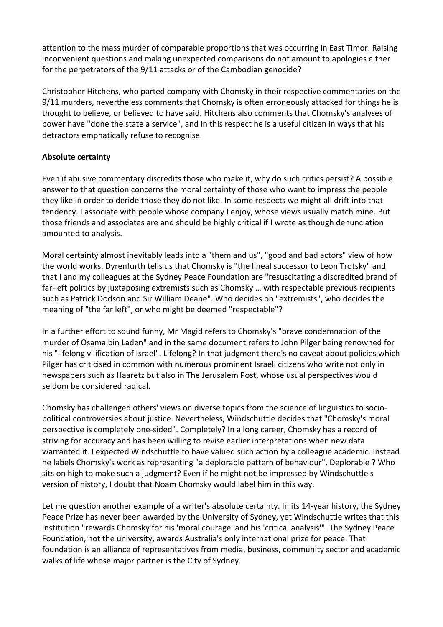attention to the mass murder of comparable proportions that was occurring in East Timor. Raising inconvenient questions and making unexpected comparisons do not amount to apologies either for the perpetrators of the 9/11 attacks or of the Cambodian genocide?

Christopher Hitchens, who parted company with Chomsky in their respective commentaries on the 9/11 murders, nevertheless comments that Chomsky is often erroneously attacked for things he is thought to believe, or believed to have said. Hitchens also comments that Chomsky's analyses of power have "done the state a service", and in this respect he is a useful citizen in ways that his detractors emphatically refuse to recognise.

## **Absolute certainty**

Even if abusive commentary discredits those who make it, why do such critics persist? A possible answer to that question concerns the moral certainty of those who want to impress the people they like in order to deride those they do not like. In some respects we might all drift into that tendency. I associate with people whose company I enjoy, whose views usually match mine. But those friends and associates are and should be highly critical if I wrote as though denunciation amounted to analysis.

Moral certainty almost inevitably leads into a "them and us", "good and bad actors" view of how the world works. Dyrenfurth tells us that Chomsky is "the lineal successor to Leon Trotsky" and that I and my colleagues at the Sydney Peace Foundation are "resuscitating a discredited brand of far-left politics by juxtaposing extremists such as Chomsky ... with respectable previous recipients such as Patrick Dodson and Sir William Deane". Who decides on "extremists", who decides the meaning of "the far left", or who might be deemed "respectable"?

In a further effort to sound funny, Mr Magid refers to Chomsky's "brave condemnation of the murder of Osama bin Laden" and in the same document refers to John Pilger being renowned for his "lifelong vilification of Israel". Lifelong? In that judgment there's no caveat about policies which Pilger has criticised in common with numerous prominent Israeli citizens who write not only in newspapers such as Haaretz but also in The Jerusalem Post, whose usual perspectives would seldom be considered radical.

Chomsky has challenged others' views on diverse topics from the science of linguistics to sociopolitical controversies about justice. Nevertheless, Windschuttle decides that "Chomsky's moral perspective is completely one-sided". Completely? In a long career, Chomsky has a record of striving for accuracy and has been willing to revise earlier interpretations when new data warranted it. I expected Windschuttle to have valued such action by a colleague academic. Instead he labels Chomsky's work as representing "a deplorable pattern of behaviour". Deplorable ? Who sits on high to make such a judgment? Even if he might not be impressed by Windschuttle's version of history, I doubt that Noam Chomsky would label him in this way.

Let me question another example of a writer's absolute certainty. In its 14-year history, the Sydney Peace Prize has never been awarded by the University of Sydney, yet Windschuttle writes that this institution "rewards Chomsky for his 'moral courage' and his 'critical analysis'". The Sydney Peace Foundation, not the university, awards Australia's only international prize for peace. That foundation is an alliance of representatives from media, business, community sector and academic walks of life whose major partner is the City of Sydney.